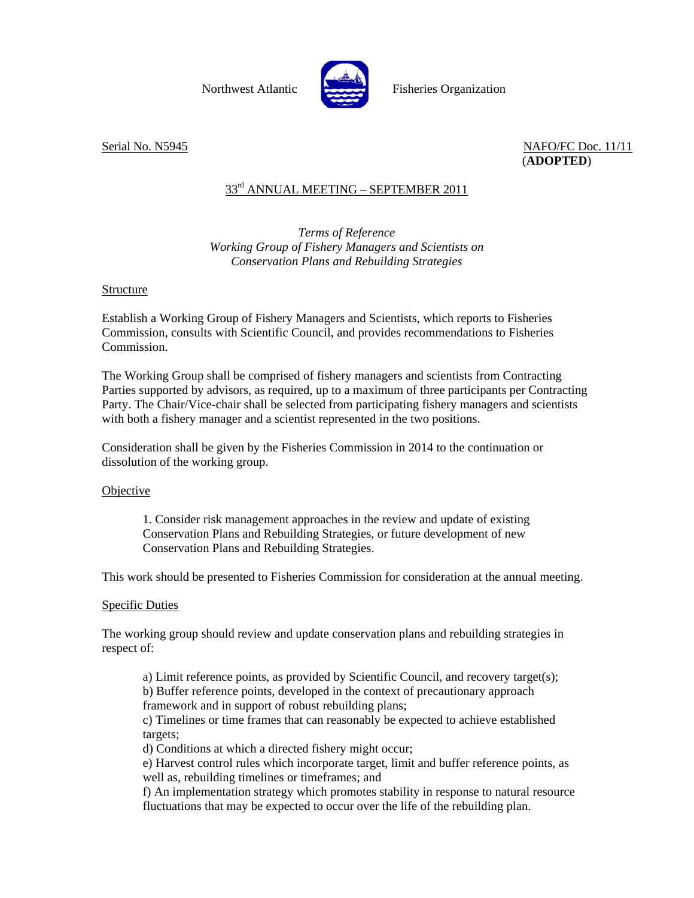

Northwest Atlantic Fisheries Organization

Serial No. N5945 NAFO/FC Doc. 11/11 (**ADOPTED**)

# 33rd ANNUAL MEETING – SEPTEMBER 2011

# *Terms of Reference Working Group of Fishery Managers and Scientists on Conservation Plans and Rebuilding Strategies*

### Structure

Establish a Working Group of Fishery Managers and Scientists, which reports to Fisheries Commission, consults with Scientific Council, and provides recommendations to Fisheries Commission.

The Working Group shall be comprised of fishery managers and scientists from Contracting Parties supported by advisors, as required, up to a maximum of three participants per Contracting Party. The Chair/Vice-chair shall be selected from participating fishery managers and scientists with both a fishery manager and a scientist represented in the two positions.

Consideration shall be given by the Fisheries Commission in 2014 to the continuation or dissolution of the working group.

#### **Objective**

1. Consider risk management approaches in the review and update of existing Conservation Plans and Rebuilding Strategies, or future development of new Conservation Plans and Rebuilding Strategies.

This work should be presented to Fisheries Commission for consideration at the annual meeting.

### **Specific Duties**

The working group should review and update conservation plans and rebuilding strategies in respect of:

a) Limit reference points, as provided by Scientific Council, and recovery target(s); b) Buffer reference points, developed in the context of precautionary approach framework and in support of robust rebuilding plans;

c) Timelines or time frames that can reasonably be expected to achieve established targets;

d) Conditions at which a directed fishery might occur;

e) Harvest control rules which incorporate target, limit and buffer reference points, as well as, rebuilding timelines or timeframes; and

f) An implementation strategy which promotes stability in response to natural resource fluctuations that may be expected to occur over the life of the rebuilding plan.